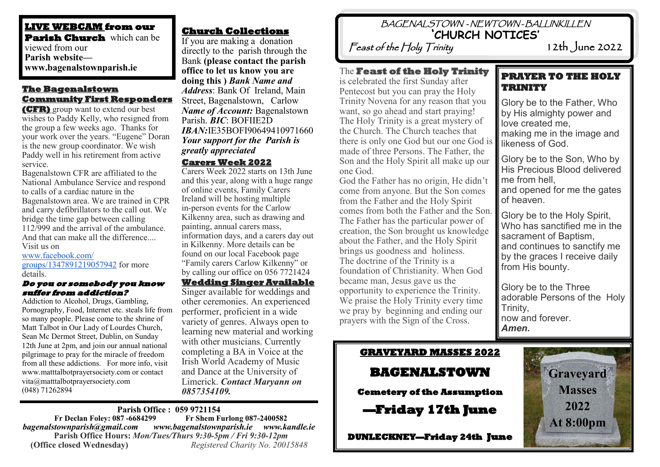#### **LIVE WEBCAM from our Parish Church** which can be viewed from our **Parish website www.bagenalstownparish.ie**

### **The Bagenalstown Community First Responders**

**(CFR)** group want to extend our best wishes to Paddy Kelly, who resigned from the group a few weeks ago. Thanks for your work over the years. "Eugene" Doran is the new group coordinator. We wish Paddy well in his retirement from active service.

Bagenalstown CFR are affiliated to the National Ambulance Service and respond to calls of a cardiac nature in the Bagenalstown area. We are trained in CPR and carry defibrillators to the call out. We bridge the time gap between calling 112/999 and the arrival of the ambulance. And that can make all the difference.... Visit us on

[www.facebook.com/](http://www.facebook.com/groups/1347891219057942) [groups/1347891219057942](http://www.facebook.com/groups/1347891219057942) for more details.

#### **Do you or somebody you know suffer from addiction?**

Addiction to Alcohol, Drugs, Gambling, Pornography, Food, Internet etc. steals life from so many people. Please come to the shrine of Matt Talbot in Our Lady of Lourdes Church, Sean Mc Dermot Street, Dublin, on Sunday 12th June at 2pm, and join our annual national pilgrimage to pray for the miracle of freedom from all these addictions. For more info, visit www.matttalbotprayersociety.com or contact vita@matttalbotprayersociety.com (048) 71262894

## **Church Collections**

If you are making a donation directly to the parish through the Bank **(please contact the parish office to let us know you are doing this )** *Bank Name and Address*: Bank Of Ireland, Main Street, Bagenalstown, Carlow *Name of Account:* Bagenalstown Parish. *BIC*: BOFIIE2D *IBAN:*IE35BOFI90649410971660 *Your support for the Parish is greatly appreciated*

#### **Carers Week 2022**

Carers Week 2022 starts on 13th June and this year, along with a huge range of online events, Family Carers Ireland will be hosting multiple in-person events for the Carlow Kilkenny area, such as drawing and painting, annual carers mass, information days, and a carers day out in Kilkenny. More details can be found on our local Facebook page "Family carers Carlow Kilkenny" or by calling our office on 056 7721424

### **Wedding Singer Available**  Singer available for weddings and

other ceremonies. An experienced performer, proficient in a wide variety of genres. Always open to learning new material and working with other musicians. Currently completing a BA in Voice at the Irish World Academy of Music and Dance at the University of Limerick. *Contact Maryann on 0857354109.*

#### **Parish Office : 059 9721154 Fr Declan Foley: 087 -6684299**

*bagenalstownparish@gmail.com www.bagenalstownparish.ie www.kandle.ie* **Parish Office Hours:** *Mon/Tues/Thurs 9:30-5pm / Fri 9:30-12pm* **(Office closed Wednesday)** *Registered Charity No. 20015848*

# BAGENALSTOWN - NEWTOWN - BALLINKILLEN **'CHURCH NOTICES'**

Feast of the Holy Trinity 12th June 2022

### The **Feast of the Holy Trinity**

is celebrated the first Sunday after Pentecost but you can pray the Holy Trinity Novena for any reason that you want, so go ahead and start praying! The Holy Trinity is a great mystery of the Church. The Church teaches that there is only one God but our one God is made of three Persons. The Father, the Son and the Holy Spirit all make up our one God.

God the Father has no origin, He didn't come from anyone. But the Son comes from the Father and the Holy Spirit comes from both the Father and the Son. The Father has the particular power of creation, the Son brought us knowledge about the Father, and the Holy Spirit brings us goodness and holiness. The doctrine of the Trinity is a foundation of Christianity. When God became man, Jesus gave us the opportunity to experience the Trinity. We praise the Holy Trinity every time we pray by beginning and ending our prayers with the Sign of the Cross.

## **PRAYER TO THE HOLY TRINITY**

Glory be to the Father, Who by His almighty power and love created me, making me in the image and likeness of God.

Glory be to the Son, Who by His Precious Blood delivered me from hell

and opened for me the gates of heaven.

Glory be to the Holy Spirit, Who has sanctified me in the sacrament of Baptism, and continues to sanctify me by the graces I receive daily from His bounty.

Glory be to the Three adorable Persons of the Holy Trinity, now and forever. *Amen.*

# **GRAVEYARD MASSES 2022 BAGENALSTOWN Cemetery of the Assumption**

**—Friday 17th June** 

**DUNLECKNEY—Friday 24th June**